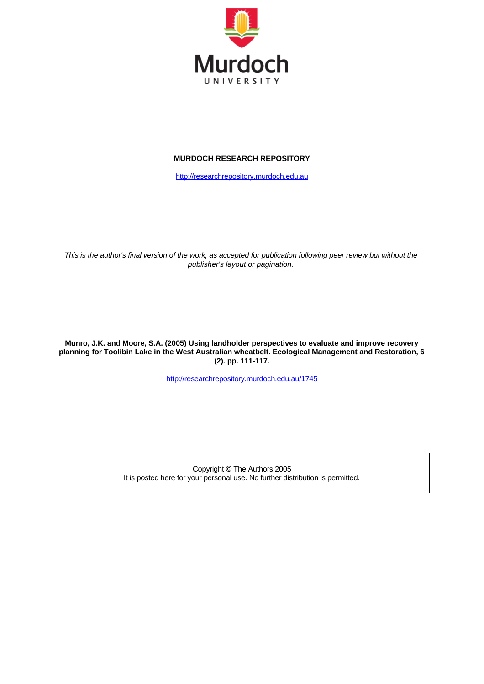

## **MURDOCH RESEARCH REPOSITORY**

[http://researchrepository.murdoch.edu.au](http://researchrepository.murdoch.edu.au/)

This is the author's final version of the work, as accepted for publication following peer review but without the *publisher's layout or pagination.*

**Munro, J.K. and Moore, S.A. (2005) Using landholder perspectives to evaluate and improve recovery planning for Toolibin Lake in the West Australian wheatbelt. Ecological Management and Restoration, 6 (2). pp. 111-117.**

<http://researchrepository.murdoch.edu.au/1745>

Copyright © The Authors 2005 It is posted here for your personal use. No further distribution is permitted.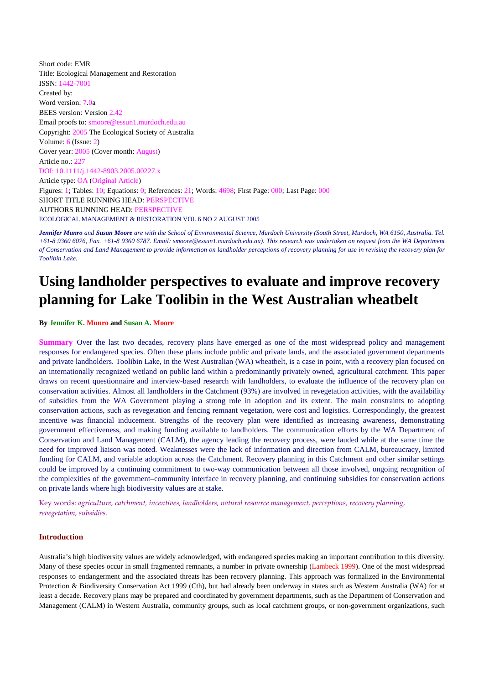Short code: EMR Title: Ecological Management and Restoration ISSN: 1442-7001 Created by: Word version: 7.0a BEES version: Version 2.42 Email proofs to: smoore@essun1.murdoch.edu.au Copyright: 2005 The Ecological Society of Australia Volume: 6 (Issue: 2) Cover year: 2005 (Cover month: August) Article no.: 227 DOI: 10.1111/j.1442-8903.2005.00227.x Article type: OA (Original Article) Figures: 1; Tables: 10; Equations: 0; References: 21; Words: 4698; First Page: 000; Last Page: 000 SHORT TITLE RUNNING HEAD: PERSPECTIVE AUTHORS RUNNING HEAD: PERSPECTIVE ECOLOGICAL MANAGEMENT & RESTORATION VOL 6 NO 2 AUGUST 2005

*Jennifer Munro and Susan Moore are with the School of Environmental Science, Murdoch University (South Street, Murdoch, WA 6150, Australia. Tel. +61-8 9360 6076, Fax. +61-8 9360 6787. Email: smoore@essun1.murdoch.edu.au). This research was undertaken on request from the WA Department of Conservation and Land Management to provide information on landholder perceptions of recovery planning for use in revising the recovery plan for Toolibin Lake.*

# **Using landholder perspectives to evaluate and improve recovery planning for Lake Toolibin in the West Australian wheatbelt**

**By Jennifer K. Munro and Susan A. Moore**

**Summary**  Over the last two decades, recovery plans have emerged as one of the most widespread policy and management responses for endangered species. Often these plans include public and private lands, and the associated government departments and private landholders. Toolibin Lake, in the West Australian (WA) wheatbelt, is a case in point, with a recovery plan focused on an internationally recognized wetland on public land within a predominantly privately owned, agricultural catchment. This paper draws on recent questionnaire and interview-based research with landholders, to evaluate the influence of the recovery plan on conservation activities. Almost all landholders in the Catchment (93%) are involved in revegetation activities, with the availability of subsidies from the WA Government playing a strong role in adoption and its extent. The main constraints to adopting conservation actions, such as revegetation and fencing remnant vegetation, were cost and logistics. Correspondingly, the greatest incentive was financial inducement. Strengths of the recovery plan were identified as increasing awareness, demonstrating government effectiveness, and making funding available to landholders. The communication efforts by the WA Department of Conservation and Land Management (CALM), the agency leading the recovery process, were lauded while at the same time the need for improved liaison was noted. Weaknesses were the lack of information and direction from CALM, bureaucracy, limited funding for CALM, and variable adoption across the Catchment. Recovery planning in this Catchment and other similar settings could be improved by a continuing commitment to two-way communication between all those involved, ongoing recognition of the complexities of the government–community interface in recovery planning, and continuing subsidies for conservation actions on private lands where high biodiversity values are at stake.

Key words: *agriculture, catchment, incentives, landholders, natural resource management, perceptions, recovery planning, revegetation, subsidies.*

## **Introduction**

Australia's high biodiversity values are widely acknowledged, with endangered species making an important contribution to this diversity. Many of these species occur in small fragmented remnants, a number in private ownership (Lambeck 1999). One of the most widespread responses to endangerment and the associated threats has been recovery planning. This approach was formalized in the Environmental Protection & Biodiversity Conservation Act 1999 (Cth), but had already been underway in states such as Western Australia (WA) for at least a decade. Recovery plans may be prepared and coordinated by government departments, such as the Department of Conservation and Management (CALM) in Western Australia, community groups, such as local catchment groups, or non-government organizations, such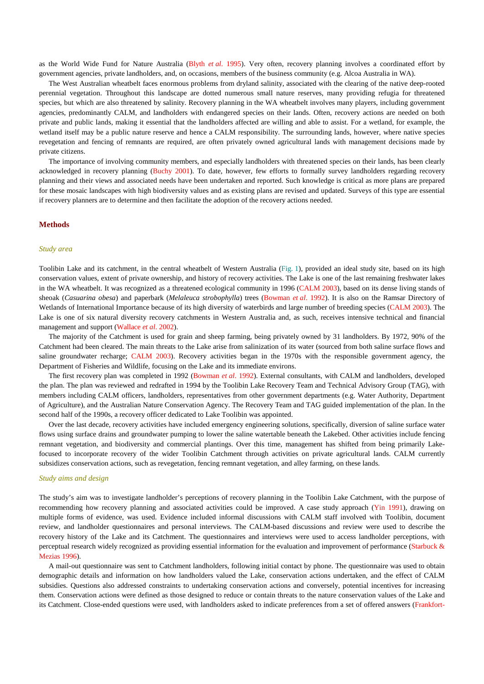as the World Wide Fund for Nature Australia (Blyth *et al*. 1995). Very often, recovery planning involves a coordinated effort by government agencies, private landholders, and, on occasions, members of the business community (e.g. Alcoa Australia in WA).

The West Australian wheatbelt faces enormous problems from dryland salinity, associated with the clearing of the native deep-rooted perennial vegetation. Throughout this landscape are dotted numerous small nature reserves, many providing refugia for threatened species, but which are also threatened by salinity. Recovery planning in the WA wheatbelt involves many players, including government agencies, predominantly CALM, and landholders with endangered species on their lands. Often, recovery actions are needed on both private and public lands, making it essential that the landholders affected are willing and able to assist. For a wetland, for example, the wetland itself may be a public nature reserve and hence a CALM responsibility. The surrounding lands, however, where native species revegetation and fencing of remnants are required, are often privately owned agricultural lands with management decisions made by private citizens.

The importance of involving community members, and especially landholders with threatened species on their lands, has been clearly acknowledged in recovery planning (Buchy 2001). To date, however, few efforts to formally survey landholders regarding recovery planning and their views and associated needs have been undertaken and reported. Such knowledge is critical as more plans are prepared for these mosaic landscapes with high biodiversity values and as existing plans are revised and updated. Surveys of this type are essential if recovery planners are to determine and then facilitate the adoption of the recovery actions needed.

#### **Methods**

#### *Study area*

Toolibin Lake and its catchment, in the central wheatbelt of Western Australia (Fig. 1), provided an ideal study site, based on its high conservation values, extent of private ownership, and history of recovery activities. The Lake is one of the last remaining freshwater lakes in the WA wheatbelt. It was recognized as a threatened ecological community in 1996 (CALM 2003), based on its dense living stands of sheoak (*Casuarina obesa*) and paperbark (*Melaleuca strobophylla*) trees (Bowman *et al*. 1992). It is also on the Ramsar Directory of Wetlands of International Importance because of its high diversity of waterbirds and large number of breeding species (CALM 2003). The Lake is one of six natural diversity recovery catchments in Western Australia and, as such, receives intensive technical and financial management and support (Wallace *et al*. 2002).

The majority of the Catchment is used for grain and sheep farming, being privately owned by 31 landholders. By 1972, 90% of the Catchment had been cleared. The main threats to the Lake arise from salinization of its water (sourced from both saline surface flows and saline groundwater recharge; CALM 2003). Recovery activities began in the 1970s with the responsible government agency, the Department of Fisheries and Wildlife, focusing on the Lake and its immediate environs.

The first recovery plan was completed in 1992 (Bowman *et al*. 1992). External consultants, with CALM and landholders, developed the plan. The plan was reviewed and redrafted in 1994 by the Toolibin Lake Recovery Team and Technical Advisory Group (TAG), with members including CALM officers, landholders, representatives from other government departments (e.g. Water Authority, Department of Agriculture), and the Australian Nature Conservation Agency. The Recovery Team and TAG guided implementation of the plan. In the second half of the 1990s, a recovery officer dedicated to Lake Toolibin was appointed.

Over the last decade, recovery activities have included emergency engineering solutions, specifically, diversion of saline surface water flows using surface drains and groundwater pumping to lower the saline watertable beneath the Lakebed. Other activities include fencing remnant vegetation, and biodiversity and commercial plantings. Over this time, management has shifted from being primarily Lakefocused to incorporate recovery of the wider Toolibin Catchment through activities on private agricultural lands. CALM currently subsidizes conservation actions, such as revegetation, fencing remnant vegetation, and alley farming, on these lands.

## *Study aims and design*

The study's aim was to investigate landholder's perceptions of recovery planning in the Toolibin Lake Catchment, with the purpose of recommending how recovery planning and associated activities could be improved. A case study approach (Yin 1991), drawing on multiple forms of evidence, was used. Evidence included informal discussions with CALM staff involved with Toolibin, document review, and landholder questionnaires and personal interviews. The CALM-based discussions and review were used to describe the recovery history of the Lake and its Catchment. The questionnaires and interviews were used to access landholder perceptions, with perceptual research widely recognized as providing essential information for the evaluation and improvement of performance (Starbuck & Mezias 1996).

A mail-out questionnaire was sent to Catchment landholders, following initial contact by phone. The questionnaire was used to obtain demographic details and information on how landholders valued the Lake, conservation actions undertaken, and the effect of CALM subsidies. Questions also addressed constraints to undertaking conservation actions and conversely, potential incentives for increasing them. Conservation actions were defined as those designed to reduce or contain threats to the nature conservation values of the Lake and its Catchment. Close-ended questions were used, with landholders asked to indicate preferences from a set of offered answers (Frankfort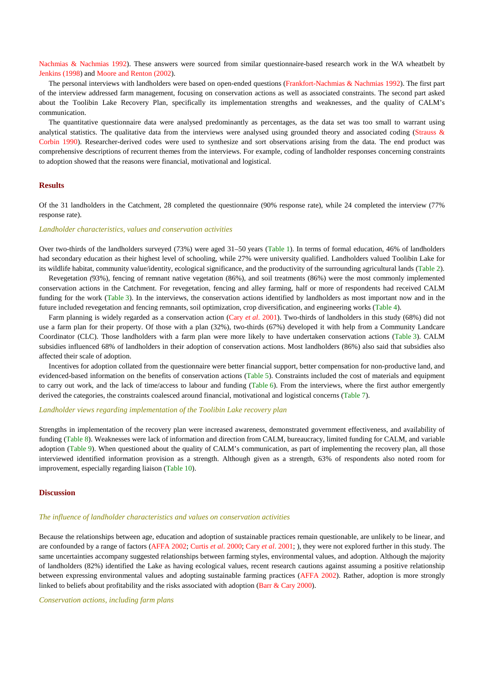Nachmias & Nachmias 1992). These answers were sourced from similar questionnaire-based research work in the WA wheatbelt by Jenkins (1998) and Moore and Renton (2002).

The personal interviews with landholders were based on open-ended questions (Frankfort-Nachmias & Nachmias 1992). The first part of the interview addressed farm management, focusing on conservation actions as well as associated constraints. The second part asked about the Toolibin Lake Recovery Plan, specifically its implementation strengths and weaknesses, and the quality of CALM's communication.

The quantitative questionnaire data were analysed predominantly as percentages, as the data set was too small to warrant using analytical statistics. The qualitative data from the interviews were analysed using grounded theory and associated coding (Strauss  $\&$ Corbin 1990). Researcher-derived codes were used to synthesize and sort observations arising from the data. The end product was comprehensive descriptions of recurrent themes from the interviews. For example, coding of landholder responses concerning constraints to adoption showed that the reasons were financial, motivational and logistical.

## **Results**

Of the 31 landholders in the Catchment, 28 completed the questionnaire (90% response rate), while 24 completed the interview (77% response rate).

#### *Landholder characteristics, values and conservation activities*

Over two-thirds of the landholders surveyed (73%) were aged 31–50 years (Table 1). In terms of formal education, 46% of landholders had secondary education as their highest level of schooling, while 27% were university qualified. Landholders valued Toolibin Lake for its wildlife habitat, community value/identity, ecological significance, and the productivity of the surrounding agricultural lands (Table 2).

Revegetation *(*93%), fencing of remnant native vegetation (86%), and soil treatments (86%) were the most commonly implemented conservation actions in the Catchment. For revegetation, fencing and alley farming, half or more of respondents had received CALM funding for the work (Table 3). In the interviews, the conservation actions identified by landholders as most important now and in the future included revegetation and fencing remnants, soil optimization, crop diversification, and engineering works (Table 4).

Farm planning is widely regarded as a conservation action (Cary *et al*. 2001). Two-thirds of landholders in this study (68%) did not use a farm plan for their property. Of those with a plan (32%), two-thirds (67%) developed it with help from a Community Landcare Coordinator (CLC). Those landholders with a farm plan were more likely to have undertaken conservation actions (Table 3). CALM subsidies influenced 68% of landholders in their adoption of conservation actions. Most landholders (86%) also said that subsidies also affected their scale of adoption.

Incentives for adoption collated from the questionnaire were better financial support, better compensation for non-productive land, and evidenced-based information on the benefits of conservation actions (Table 5). Constraints included the cost of materials and equipment to carry out work, and the lack of time/access to labour and funding (Table 6). From the interviews, where the first author emergently derived the categories, the constraints coalesced around financial, motivational and logistical concerns (Table 7).

#### *Landholder views regarding implementation of the Toolibin Lake recovery plan*

Strengths in implementation of the recovery plan were increased awareness, demonstrated government effectiveness, and availability of funding (Table 8). Weaknesses were lack of information and direction from CALM, bureaucracy, limited funding for CALM, and variable adoption (Table 9). When questioned about the quality of CALM's communication, as part of implementing the recovery plan, all those interviewed identified information provision as a strength. Although given as a strength, 63% of respondents also noted room for improvement, especially regarding liaison (Table 10).

## **Discussion**

#### *The influence of landholder characteristics and values on conservation activities*

Because the relationships between age, education and adoption of sustainable practices remain questionable, are unlikely to be linear, and are confounded by a range of factors (AFFA 2002; Curtis *et al*. 2000; Cary *et al*. 2001; ), they were not explored further in this study. The same uncertainties accompany suggested relationships between farming styles, environmental values, and adoption. Although the majority of landholders (82%) identified the Lake as having ecological values, recent research cautions against assuming a positive relationship between expressing environmental values and adopting sustainable farming practices (AFFA 2002). Rather, adoption is more strongly linked to beliefs about profitability and the risks associated with adoption (Barr & Cary 2000).

*Conservation actions, including farm plans*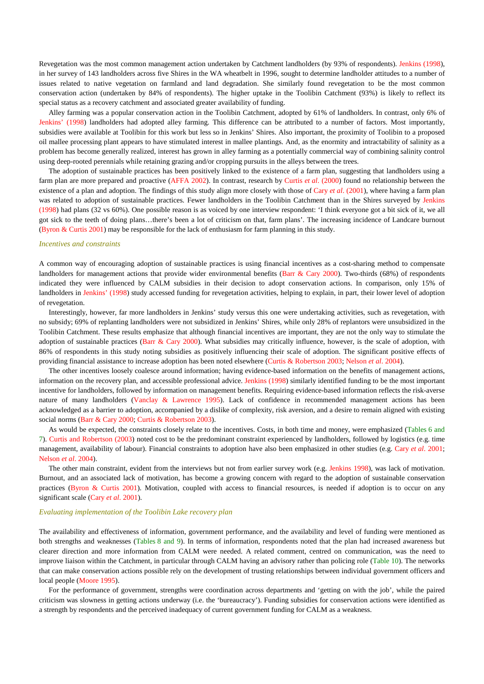Revegetation was the most common management action undertaken by Catchment landholders (by 93% of respondents). Jenkins (1998), in her survey of 143 landholders across five Shires in the WA wheatbelt in 1996, sought to determine landholder attitudes to a number of issues related to native vegetation on farmland and land degradation. She similarly found revegetation to be the most common conservation action (undertaken by 84% of respondents). The higher uptake in the Toolibin Catchment (93%) is likely to reflect its special status as a recovery catchment and associated greater availability of funding.

Alley farming was a popular conservation action in the Toolibin Catchment, adopted by 61% of landholders. In contrast, only 6% of Jenkins' (1998) landholders had adopted alley farming. This difference can be attributed to a number of factors. Most importantly, subsidies were available at Toolibin for this work but less so in Jenkins' Shires. Also important, the proximity of Toolibin to a proposed oil mallee processing plant appears to have stimulated interest in mallee plantings. And, as the enormity and intractability of salinity as a problem has become generally realized, interest has grown in alley farming as a potentially commercial way of combining salinity control using deep-rooted perennials while retaining grazing and/or cropping pursuits in the alleys between the trees.

The adoption of sustainable practices has been positively linked to the existence of a farm plan, suggesting that landholders using a farm plan are more prepared and proactive (AFFA 2002). In contrast, research by Curtis *et al*. (2000) found no relationship between the existence of a plan and adoption. The findings of this study align more closely with those of Cary *et al*. (2001), where having a farm plan was related to adoption of sustainable practices. Fewer landholders in the Toolibin Catchment than in the Shires surveyed by Jenkins (1998) had plans (32 vs 60%). One possible reason is as voiced by one interview respondent: 'I think everyone got a bit sick of it, we all got sick to the teeth of doing plans…there's been a lot of criticism on that, farm plans'. The increasing incidence of Landcare burnout (Byron & Curtis 2001) may be responsible for the lack of enthusiasm for farm planning in this study.

## *Incentives and constraints*

A common way of encouraging adoption of sustainable practices is using financial incentives as a cost-sharing method to compensate landholders for management actions that provide wider environmental benefits (Barr  $\&$  Cary 2000). Two-thirds (68%) of respondents indicated they were influenced by CALM subsidies in their decision to adopt conservation actions. In comparison, only 15% of landholders in Jenkins' (1998) study accessed funding for revegetation activities, helping to explain, in part, their lower level of adoption of revegetation.

Interestingly, however, far more landholders in Jenkins' study versus this one were undertaking activities, such as revegetation, with no subsidy; 69% of replanting landholders were not subsidized in Jenkins' Shires, while only 28% of replantors were unsubsidized in the Toolibin Catchment. These results emphasize that although financial incentives are important, they are not the only way to stimulate the adoption of sustainable practices (Barr & Cary 2000). What subsidies may critically influence, however, is the scale of adoption, with 86% of respondents in this study noting subsidies as positively influencing their scale of adoption. The significant positive effects of providing financial assistance to increase adoption has been noted elsewhere (Curtis & Robertson 2003; Nelson *et al*. 2004).

The other incentives loosely coalesce around information; having evidence-based information on the benefits of management actions, information on the recovery plan, and accessible professional advice. Jenkins (1998) similarly identified funding to be the most important incentive for landholders, followed by information on management benefits. Requiring evidence-based information reflects the risk-averse nature of many landholders (Vanclay & Lawrence 1995). Lack of confidence in recommended management actions has been acknowledged as a barrier to adoption, accompanied by a dislike of complexity, risk aversion, and a desire to remain aligned with existing social norms (Barr & Cary 2000; Curtis & Robertson 2003).

As would be expected, the constraints closely relate to the incentives. Costs, in both time and money, were emphasized (Tables 6 and 7). Curtis and Robertson (2003) noted cost to be the predominant constraint experienced by landholders, followed by logistics (e.g. time management, availability of labour). Financial constraints to adoption have also been emphasized in other studies (e.g. Cary *et al*. 2001; Nelson *et al*. 2004).

The other main constraint, evident from the interviews but not from earlier survey work (e.g. Jenkins 1998), was lack of motivation. Burnout, and an associated lack of motivation, has become a growing concern with regard to the adoption of sustainable conservation practices (Byron & Curtis 2001). Motivation, coupled with access to financial resources, is needed if adoption is to occur on any significant scale (Cary *et al*. 2001).

## *Evaluating implementation of the Toolibin Lake recovery plan*

The availability and effectiveness of information, government performance, and the availability and level of funding were mentioned as both strengths and weaknesses (Tables 8 and 9). In terms of information, respondents noted that the plan had increased awareness but clearer direction and more information from CALM were needed. A related comment, centred on communication, was the need to improve liaison within the Catchment, in particular through CALM having an advisory rather than policing role (Table 10). The networks that can make conservation actions possible rely on the development of trusting relationships between individual government officers and local people (Moore 1995).

For the performance of government, strengths were coordination across departments and 'getting on with the job', while the paired criticism was slowness in getting actions underway (i.e. the 'bureaucracy'). Funding subsidies for conservation actions were identified as a strength by respondents and the perceived inadequacy of current government funding for CALM as a weakness.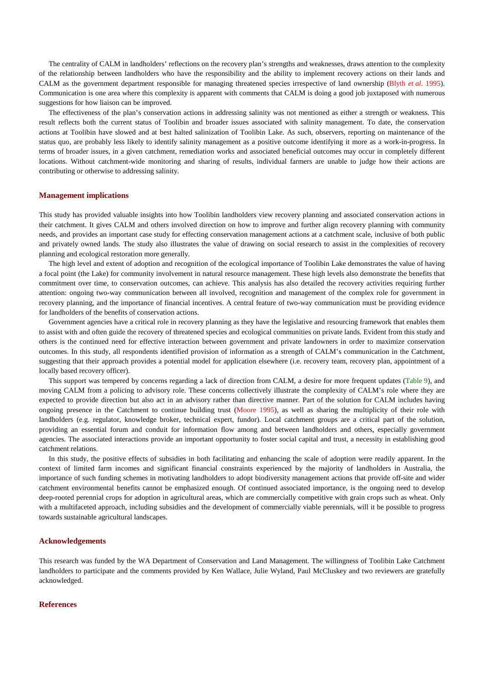The centrality of CALM in landholders' reflections on the recovery plan's strengths and weaknesses, draws attention to the complexity of the relationship between landholders who have the responsibility and the ability to implement recovery actions on their lands and CALM as the government department responsible for managing threatened species irrespective of land ownership (Blyth *et al*. 1995). Communication is one area where this complexity is apparent with comments that CALM is doing a good job juxtaposed with numerous suggestions for how liaison can be improved.

The effectiveness of the plan's conservation actions in addressing salinity was not mentioned as either a strength or weakness. This result reflects both the current status of Toolibin and broader issues associated with salinity management. To date, the conservation actions at Toolibin have slowed and at best halted salinization of Toolibin Lake. As such, observers, reporting on maintenance of the status quo, are probably less likely to identify salinity management as a positive outcome identifying it more as a work-in-progress. In terms of broader issues, in a given catchment, remediation works and associated beneficial outcomes may occur in completely different locations. Without catchment-wide monitoring and sharing of results, individual farmers are unable to judge how their actions are contributing or otherwise to addressing salinity.

#### **Management implications**

This study has provided valuable insights into how Toolibin landholders view recovery planning and associated conservation actions in their catchment. It gives CALM and others involved direction on how to improve and further align recovery planning with community needs, and provides an important case study for effecting conservation management actions at a catchment scale, inclusive of both public and privately owned lands. The study also illustrates the value of drawing on social research to assist in the complexities of recovery planning and ecological restoration more generally.

The high level and extent of adoption and recognition of the ecological importance of Toolibin Lake demonstrates the value of having a focal point (the Lake) for community involvement in natural resource management. These high levels also demonstrate the benefits that commitment over time, to conservation outcomes, can achieve. This analysis has also detailed the recovery activities requiring further attention: ongoing two-way communication between all involved, recognition and management of the complex role for government in recovery planning, and the importance of financial incentives. A central feature of two-way communication must be providing evidence for landholders of the benefits of conservation actions.

Government agencies have a critical role in recovery planning as they have the legislative and resourcing framework that enables them to assist with and often guide the recovery of threatened species and ecological communities on private lands. Evident from this study and others is the continued need for effective interaction between government and private landowners in order to maximize conservation outcomes. In this study, all respondents identified provision of information as a strength of CALM's communication in the Catchment, suggesting that their approach provides a potential model for application elsewhere (i.e. recovery team, recovery plan, appointment of a locally based recovery officer).

This support was tempered by concerns regarding a lack of direction from CALM, a desire for more frequent updates (Table 9), and moving CALM from a policing to advisory role. These concerns collectively illustrate the complexity of CALM's role where they are expected to provide direction but also act in an advisory rather than directive manner. Part of the solution for CALM includes having ongoing presence in the Catchment to continue building trust (Moore 1995), as well as sharing the multiplicity of their role with landholders (e.g. regulator, knowledge broker, technical expert, fundor). Local catchment groups are a critical part of the solution, providing an essential forum and conduit for information flow among and between landholders and others, especially government agencies. The associated interactions provide an important opportunity to foster social capital and trust, a necessity in establishing good catchment relations.

In this study, the positive effects of subsidies in both facilitating and enhancing the scale of adoption were readily apparent. In the context of limited farm incomes and significant financial constraints experienced by the majority of landholders in Australia, the importance of such funding schemes in motivating landholders to adopt biodiversity management actions that provide off-site and wider catchment environmental benefits cannot be emphasized enough. Of continued associated importance, is the ongoing need to develop deep-rooted perennial crops for adoption in agricultural areas, which are commercially competitive with grain crops such as wheat. Only with a multifaceted approach, including subsidies and the development of commercially viable perennials, will it be possible to progress towards sustainable agricultural landscapes.

#### **Acknowledgements**

This research was funded by the WA Department of Conservation and Land Management. The willingness of Toolibin Lake Catchment landholders to participate and the comments provided by Ken Wallace, Julie Wyland, Paul McCluskey and two reviewers are gratefully acknowledged.

### **References**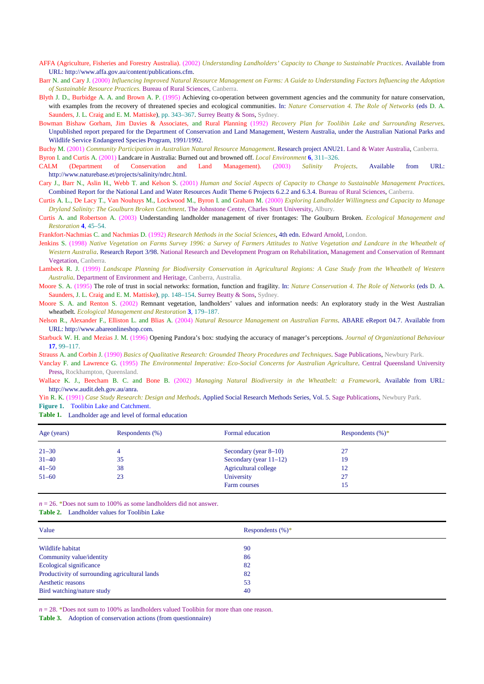- AFFA (Agriculture, Fisheries and Forestry Australia). (2002) *Understanding Landholders' Capacity to Change to Sustainable Practices*. Available from URL: http://www.affa.gov.au/content/publications.cfm.
- Barr N. and Cary J. (2000) *Influencing Improved Natural Resource Management on Farms: A Guide to Understanding Factors Influencing the Adoption of Sustainable Resource Practices.* Bureau of Rural Sciences, Canberra.

Blyth J. D., Burbidge A. A. and Brown A. P. (1995) Achieving co-operation between government agencies and the community for nature conservation, with examples from the recovery of threatened species and ecological communities. In: *Nature Conservation 4. The Role of Networks* (eds D. A. Saunders, J. L. Craig and E. M. Mattiske), pp. 343–367. Surrey Beatty & Sons, Sydney.

Bowman Bishaw Gorham, Jim Davies & Associates, and Rural Planning (1992) *Recovery Plan for Toolibin Lake and Surrounding Reserves*. Unpublished report prepared for the Department of Conservation and Land Management, Western Australia, under the Australian National Parks and Wildlife Service Endangered Species Program, 1991/1992.

Buchy M. (2001) *Community Participation in Australian Natural Resource Management*. Research project ANU21. Land & Water Australia, Canberra.

Byron I. and Curtis A. (2001) Landcare in Australia: Burned out and browned off. *Local Environment* **6**, 311–326.

CALM (Department of Conservation and Land Management). (2003) *Salinity Projects*. Available from URL: http://www.naturebase.et/projects/salinity/ndrc.html.

Cary J., Barr N., Aslin H., Webb T. and Kelson S. (2001) *Human and Social Aspects of Capacity to Change to Sustainable Management Practices*. Combined Report for the National Land and Water Resources Audit Theme 6 Projects 6.2.2 and 6.3.4. Bureau of Rural Sciences, Canberra.

Curtis A. L., De Lacy T., Van Nouhuys M., Lockwood M., Byron I. and Graham M. (2000) *Exploring Landholder Willingness and Capacity to Manage Dryland Salinity: The Goulburn Broken Catchment*. The Johnstone Centre, Charles Sturt University, Albury.

Curtis A. and Robertson A. (2003) Understanding landholder management of river frontages: The Goulburn Broken. *Ecological Management and Restoration* **4**, 45–54.

Frankfort-Nachmias C. and Nachmias D. (1992) *Research Methods in the Social Sciences*, 4th edn. Edward Arnold, London.

Jenkins S. (1998) *Native Vegetation on Farms Survey 1996: a Survey of Farmers Attitudes to Native Vegetation and Landcare in the Wheatbelt of Western Australia*. Research Report 3/98. National Research and Development Program on Rehabilitation, Management and Conservation of Remnant Vegetation, Canberra.

Moore S. A. (1995) The role of trust in social networks: formation, function and fragility. In: *Nature Conservation 4. The Role of Networks* (eds D. A. Saunders, J. L. Craig and E. M. Mattiske), pp. 148–154. Surrey Beatty & Sons, Sydney.

Moore S. A. and Renton S. (2002) Remnant vegetation, landholders' values and information needs: An exploratory study in the West Australian wheatbelt*. Ecological Management and Restoration* **3**, 179–187.

Nelson R., Alexander F., Elliston L. and Blias A. (2004) *Natural Resource Management on Australian Farms*. ABARE eReport 04.7. Available from URL: http://www.abareonlineshop.com.

Starbuck W. H. and Mezias J. M. (1996) Opening Pandora's box: studying the accuracy of manager's perceptions. *Journal of Organizational Behaviour* **17**, 99–117.

Strauss A. and Corbin J. (1990) *Basics of Qualitative Research: Grounded Theory Procedures and Techniques*. Sage Publications, Newbury Park.

Vanclay F. and Lawrence G. (1995) *The Environmental Imperative: Eco-Social Concerns for Australian Agriculture*. Central Queensland University Press, Rockhampton, Queensland.

Wallace K. J., Beecham B. C. and Bone B. (2002) *Managing Natural Biodiversity in the Wheatbelt: a Framework*. Available from URL: http://www.audit.deh.gov.au/anra.

Yin R. K. (1991) *Case Study Research: Design and Methods*. Applied Social Research Methods Series, Vol. 5. Sage Publications, Newbury Park. **Figure 1.** Toolibin Lake and Catchment.

**Table 1.**  Landholder age and level of formal education

| Age (years) | Respondents (%) | Formal education          | Respondents $(\%)^*$ |  |
|-------------|-----------------|---------------------------|----------------------|--|
| $21 - 30$   | 4               | Secondary (year $8-10$ )  | 27                   |  |
| $31 - 40$   | 35              | Secondary (year $11-12$ ) | 19                   |  |
| $41 - 50$   | 38              | Agricultural college      | 12                   |  |
| $51 - 60$   | 23              | University                | 27                   |  |
|             |                 | Farm courses              | 15                   |  |

 $n = 26$ . \*Does not sum to 100% as some landholders did not answer.

**Table 2.**  Landholder values for Toolibin Lake

| Respondents $(\%)^*$ |
|----------------------|
| 90                   |
| 86                   |
| 82                   |
| 82                   |
| 53                   |
| 40                   |
|                      |

 $n = 28$ . \*Does not sum to 100% as landholders valued Toolibin for more than one reason.

**Table 3.** Adoption of conservation actions (from questionnaire)

Lambeck R. J. (1999) *Landscape Planning for Biodiversity Conservation in Agricultural Regions: A Case Study from the Wheatbelt of Western Australia*. Department of Environment and Heritage, Canberra, Australia.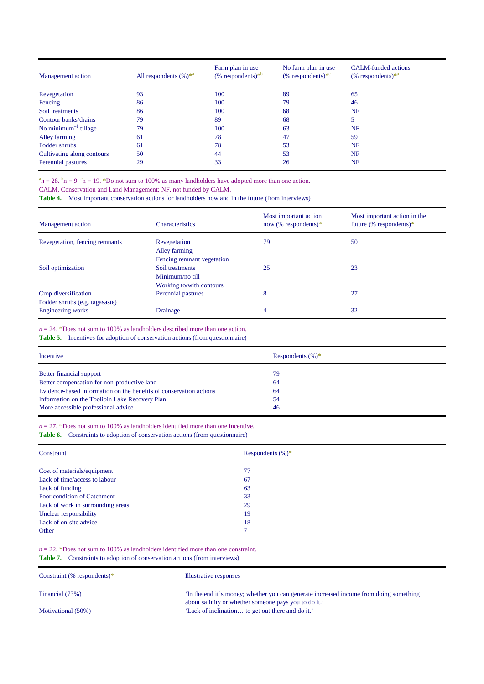| <b>Management</b> action   | All respondents $(\%)^*$ <sup>a</sup> | Farm plan in use<br>$%$ respondents) <sup>*b</sup> | No farm plan in use<br>$%$ respondents) <sup>*c</sup> | <b>CALM-funded actions</b><br>$(\%$ respondents) <sup>*a</sup> |
|----------------------------|---------------------------------------|----------------------------------------------------|-------------------------------------------------------|----------------------------------------------------------------|
| Revegetation               | 93                                    | 100                                                | 89                                                    | 65                                                             |
| Fencing                    | 86                                    | 100                                                | 79                                                    | 46                                                             |
| Soil treatments            | 86                                    | 100                                                | 68                                                    | NF                                                             |
| Contour banks/drains       | 79                                    | 89                                                 | 68                                                    | 5                                                              |
| No minimum $^{-1}$ tillage | 79                                    | 100                                                | 63                                                    | NF                                                             |
| Alley farming              | 61                                    | 78                                                 | 47                                                    | 59                                                             |
| Fodder shrubs              | 61                                    | 78                                                 | 53                                                    | NF                                                             |
| Cultivating along contours | 50                                    | 44                                                 | 53                                                    | NF                                                             |
| Perennial pastures         | 29                                    | 33                                                 | 26                                                    | NF                                                             |

 $n^2$ n = 28.  $n^2$ n = 9.  $n^2$ n = 19. \*Do not sum to 100% as many landholders have adopted more than one action.

CALM, Conservation and Land Management; NF, not funded by CALM.

**Table 4.**  Most important conservation actions for landholders now and in the future (from interviews)

| Management action                                      | <b>Characteristics</b>                                         | Most important action<br>now (% respondents) $*$ | Most important action in the<br>future (% respondents)* |
|--------------------------------------------------------|----------------------------------------------------------------|--------------------------------------------------|---------------------------------------------------------|
| Revegetation, fencing remnants                         | Revegetation<br>Alley farming<br>Fencing remnant vegetation    | 79                                               | 50                                                      |
| Soil optimization                                      | Soil treatments<br>Minimum/no till<br>Working to/with contours | 25                                               | 23                                                      |
| Crop diversification<br>Fodder shrubs (e.g. tagasaste) | Perennial pastures                                             | 8                                                | 27                                                      |
| <b>Engineering works</b>                               | Drainage                                                       | 4                                                | 32                                                      |

 $n = 24$ . \*Does not sum to 100% as landholders described more than one action.

**Table 5.**  Incentives for adoption of conservation actions (from questionnaire)

| Incentive                                                          | Respondents $(\%)^*$ |
|--------------------------------------------------------------------|----------------------|
| Better financial support                                           | 79                   |
| Better compensation for non-productive land                        | 64                   |
| Evidence-based information on the benefits of conservation actions | 64                   |
| Information on the Toolibin Lake Recovery Plan                     | 54                   |
| More accessible professional advice                                | 46                   |

 $n = 27$ . \*Does not sum to 100% as landholders identified more than one incentive.

**Table 6.**  Constraints to adoption of conservation actions (from questionnaire)

| Constraint                        | Respondents $(\%)^*$ |
|-----------------------------------|----------------------|
| Cost of materials/equipment       | 77                   |
| Lack of time/access to labour     | 67                   |
| Lack of funding                   | 63                   |
| Poor condition of Catchment       | 33                   |
| Lack of work in surrounding areas | 29                   |
| Unclear responsibility            | 19                   |
| Lack of on-site advice            | 18                   |
| Other                             | ⇁                    |

 $n = 22$ . \*Does not sum to 100% as landholders identified more than one constraint.

**Table 7.**  Constraints to adoption of conservation actions (from interviews)

| Constraint (% respondents)* | Illustrative responses                                                                                                                         |
|-----------------------------|------------------------------------------------------------------------------------------------------------------------------------------------|
| Financial (73%)             | In the end it's money; whether you can generate increased income from doing something<br>about salinity or whether someone pays you to do it.' |
| Motivational (50%)          | 'Lack of inclination to get out there and do it.'                                                                                              |